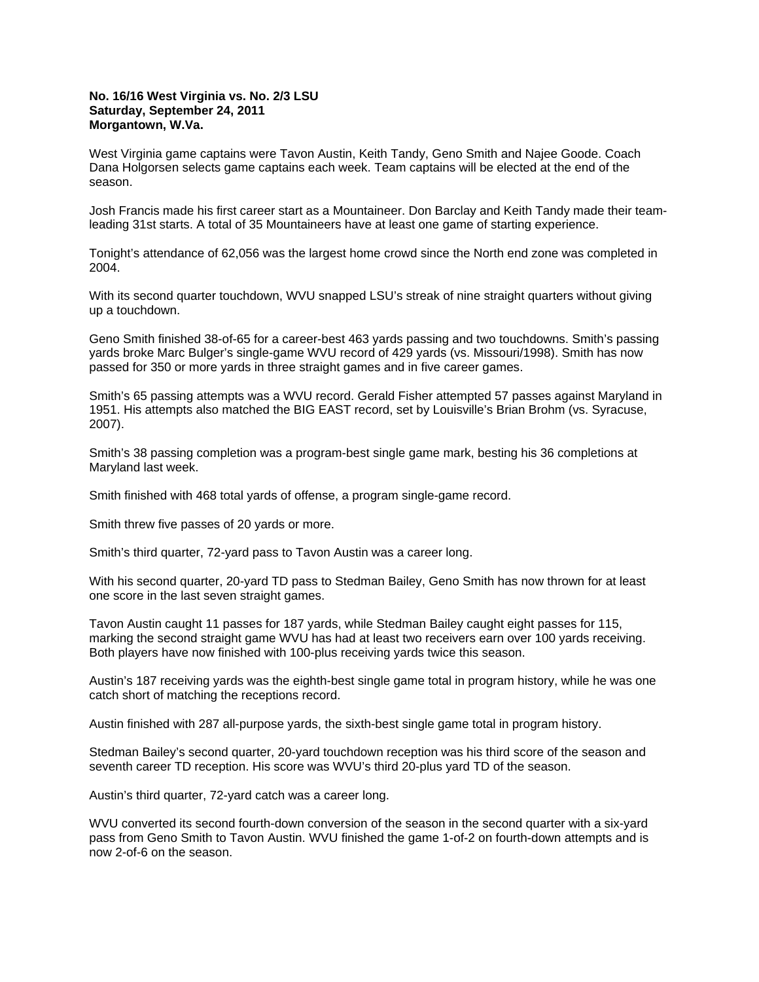## **No. 16/16 West Virginia vs. No. 2/3 LSU Saturday, September 24, 2011 Morgantown, W.Va.**

West Virginia game captains were Tavon Austin, Keith Tandy, Geno Smith and Najee Goode. Coach Dana Holgorsen selects game captains each week. Team captains will be elected at the end of the season.

Josh Francis made his first career start as a Mountaineer. Don Barclay and Keith Tandy made their teamleading 31st starts. A total of 35 Mountaineers have at least one game of starting experience.

Tonight's attendance of 62,056 was the largest home crowd since the North end zone was completed in 2004.

With its second quarter touchdown, WVU snapped LSU's streak of nine straight quarters without giving up a touchdown.

Geno Smith finished 38-of-65 for a career-best 463 yards passing and two touchdowns. Smith's passing yards broke Marc Bulger's single-game WVU record of 429 yards (vs. Missouri/1998). Smith has now passed for 350 or more yards in three straight games and in five career games.

Smith's 65 passing attempts was a WVU record. Gerald Fisher attempted 57 passes against Maryland in 1951. His attempts also matched the BIG EAST record, set by Louisville's Brian Brohm (vs. Syracuse, 2007).

Smith's 38 passing completion was a program-best single game mark, besting his 36 completions at Maryland last week.

Smith finished with 468 total yards of offense, a program single-game record.

Smith threw five passes of 20 yards or more.

Smith's third quarter, 72-yard pass to Tavon Austin was a career long.

With his second quarter, 20-yard TD pass to Stedman Bailey, Geno Smith has now thrown for at least one score in the last seven straight games.

Tavon Austin caught 11 passes for 187 yards, while Stedman Bailey caught eight passes for 115, marking the second straight game WVU has had at least two receivers earn over 100 yards receiving. Both players have now finished with 100-plus receiving yards twice this season.

Austin's 187 receiving yards was the eighth-best single game total in program history, while he was one catch short of matching the receptions record.

Austin finished with 287 all-purpose yards, the sixth-best single game total in program history.

Stedman Bailey's second quarter, 20-yard touchdown reception was his third score of the season and seventh career TD reception. His score was WVU's third 20-plus yard TD of the season.

Austin's third quarter, 72-yard catch was a career long.

WVU converted its second fourth-down conversion of the season in the second quarter with a six-yard pass from Geno Smith to Tavon Austin. WVU finished the game 1-of-2 on fourth-down attempts and is now 2-of-6 on the season.